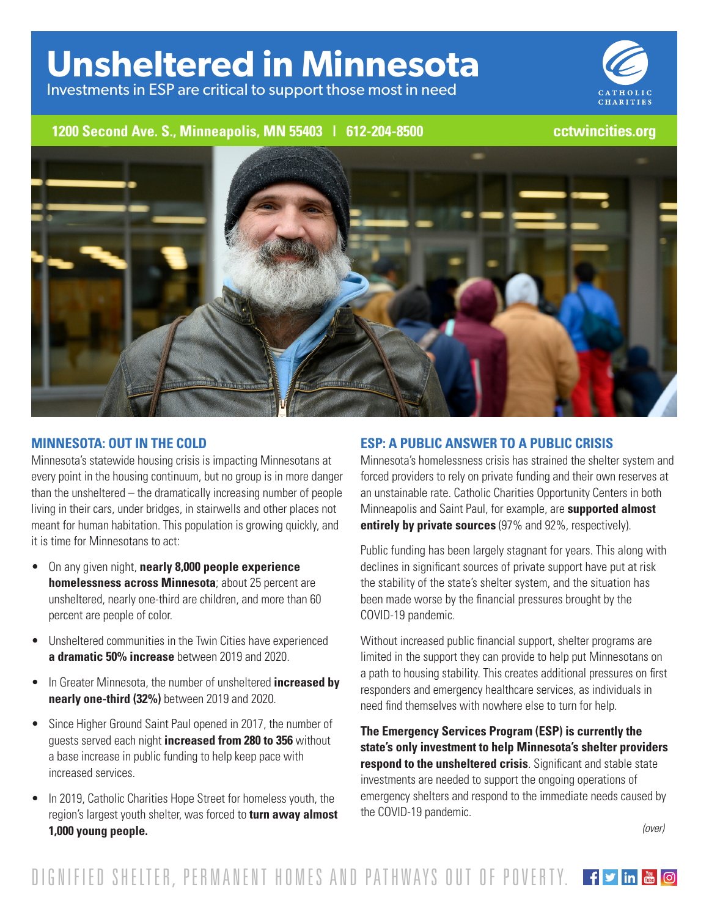# **Unsheltered in Minnesota**

Investments in ESP are critical to support those most in need



## **1200 Second Ave. S., Minneapolis, MN 55403 | 612-204-8500 cctwincities.org**



#### **MINNESOTA: OUT IN THE COLD**

Minnesota's statewide housing crisis is impacting Minnesotans at every point in the housing continuum, but no group is in more danger than the unsheltered – the dramatically increasing number of people living in their cars, under bridges, in stairwells and other places not meant for human habitation. This population is growing quickly, and it is time for Minnesotans to act:

- On any given night, **nearly 8,000 people experience homelessness across Minnesota**; about 25 percent are unsheltered, nearly one-third are children, and more than 60 percent are people of color.
- Unsheltered communities in the Twin Cities have experienced **a dramatic 50% increase** between 2019 and 2020.
- In Greater Minnesota, the number of unsheltered **increased by nearly one-third (32%)** between 2019 and 2020.
- Since Higher Ground Saint Paul opened in 2017, the number of guests served each night **increased from 280 to 356** without a base increase in public funding to help keep pace with increased services.
- In 2019, Catholic Charities Hope Street for homeless youth, the region's largest youth shelter, was forced to **turn away almost 1,000 young people.**

### **ESP: A PUBLIC ANSWER TO A PUBLIC CRISIS**

Minnesota's homelessness crisis has strained the shelter system and forced providers to rely on private funding and their own reserves at an unstainable rate. Catholic Charities Opportunity Centers in both Minneapolis and Saint Paul, for example, are **supported almost entirely by private sources** (97% and 92%, respectively).

Public funding has been largely stagnant for years. This along with declines in significant sources of private support have put at risk the stability of the state's shelter system, and the situation has been made worse by the financial pressures brought by the COVID-19 pandemic.

Without increased public financial support, shelter programs are limited in the support they can provide to help put Minnesotans on a path to housing stability. This creates additional pressures on first responders and emergency healthcare services, as individuals in need find themselves with nowhere else to turn for help.

**The Emergency Services Program (ESP) is currently the state's only investment to help Minnesota's shelter providers respond to the unsheltered crisis**. Significant and stable state investments are needed to support the ongoing operations of emergency shelters and respond to the immediate needs caused by the COVID-19 pandemic.

*(over)*